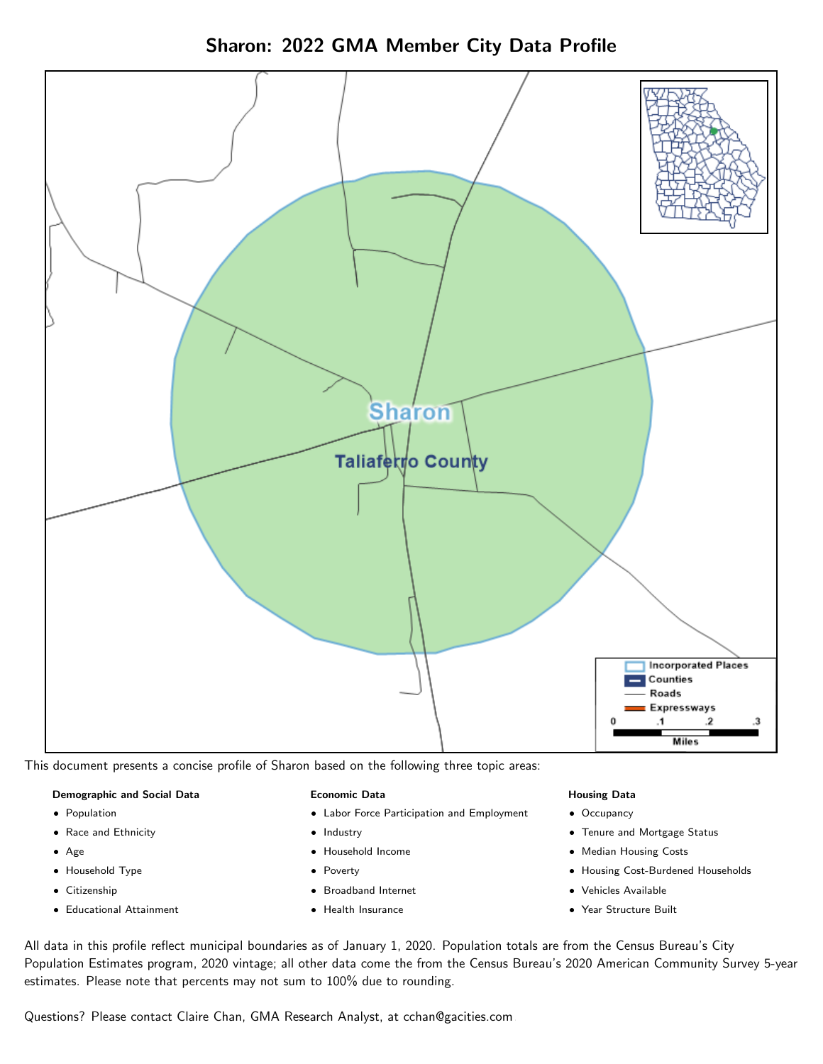Sharon: 2022 GMA Member City Data Profile



This document presents a concise profile of Sharon based on the following three topic areas:

#### Demographic and Social Data

- **•** Population
- Race and Ethnicity
- Age
- Household Type
- **Citizenship**
- Educational Attainment

#### Economic Data

- Labor Force Participation and Employment
- Industry
- Household Income
- Poverty
- Broadband Internet
- Health Insurance

#### Housing Data

- Occupancy
- Tenure and Mortgage Status
- Median Housing Costs
- Housing Cost-Burdened Households
- Vehicles Available
- Year Structure Built

All data in this profile reflect municipal boundaries as of January 1, 2020. Population totals are from the Census Bureau's City Population Estimates program, 2020 vintage; all other data come the from the Census Bureau's 2020 American Community Survey 5-year estimates. Please note that percents may not sum to 100% due to rounding.

Questions? Please contact Claire Chan, GMA Research Analyst, at [cchan@gacities.com.](mailto:cchan@gacities.com)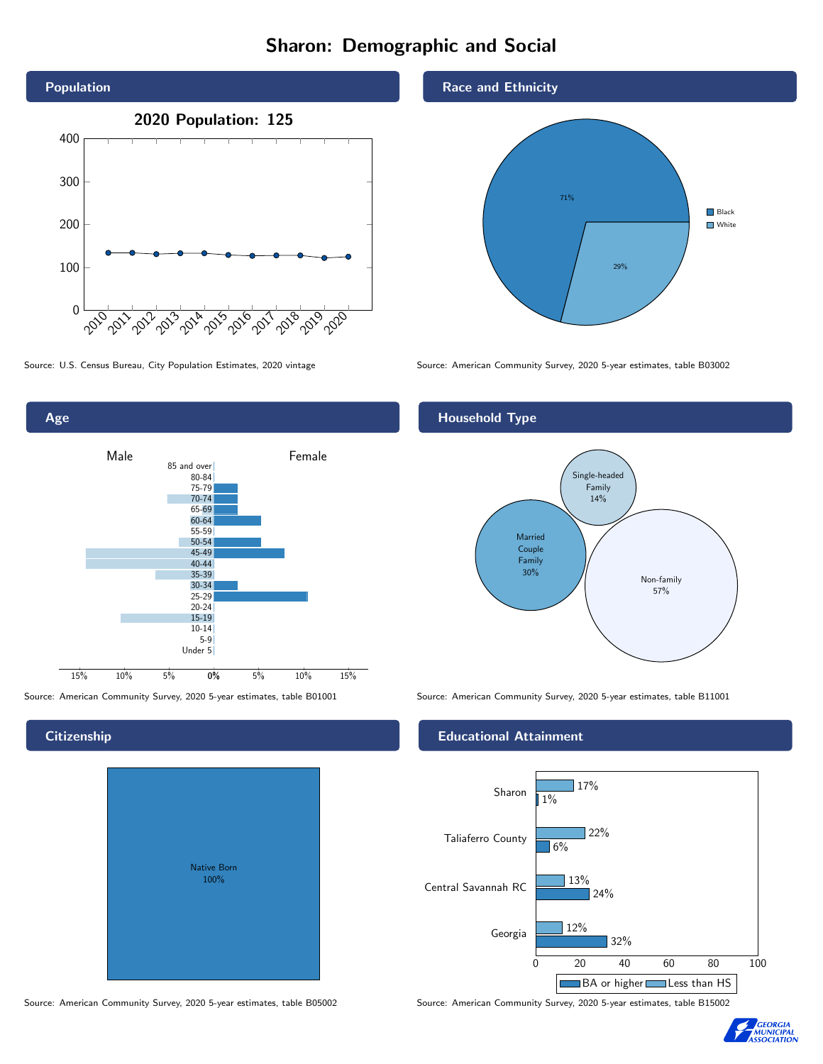# Sharon: Demographic and Social





# **Citizenship**

| Native Born<br>100% |  |
|---------------------|--|

Race and Ethnicity



Source: U.S. Census Bureau, City Population Estimates, 2020 vintage Source: American Community Survey, 2020 5-year estimates, table B03002

# Household Type



Source: American Community Survey, 2020 5-year estimates, table B01001 Source: American Community Survey, 2020 5-year estimates, table B11001

### Educational Attainment



Source: American Community Survey, 2020 5-year estimates, table B05002 Source: American Community Survey, 2020 5-year estimates, table B15002

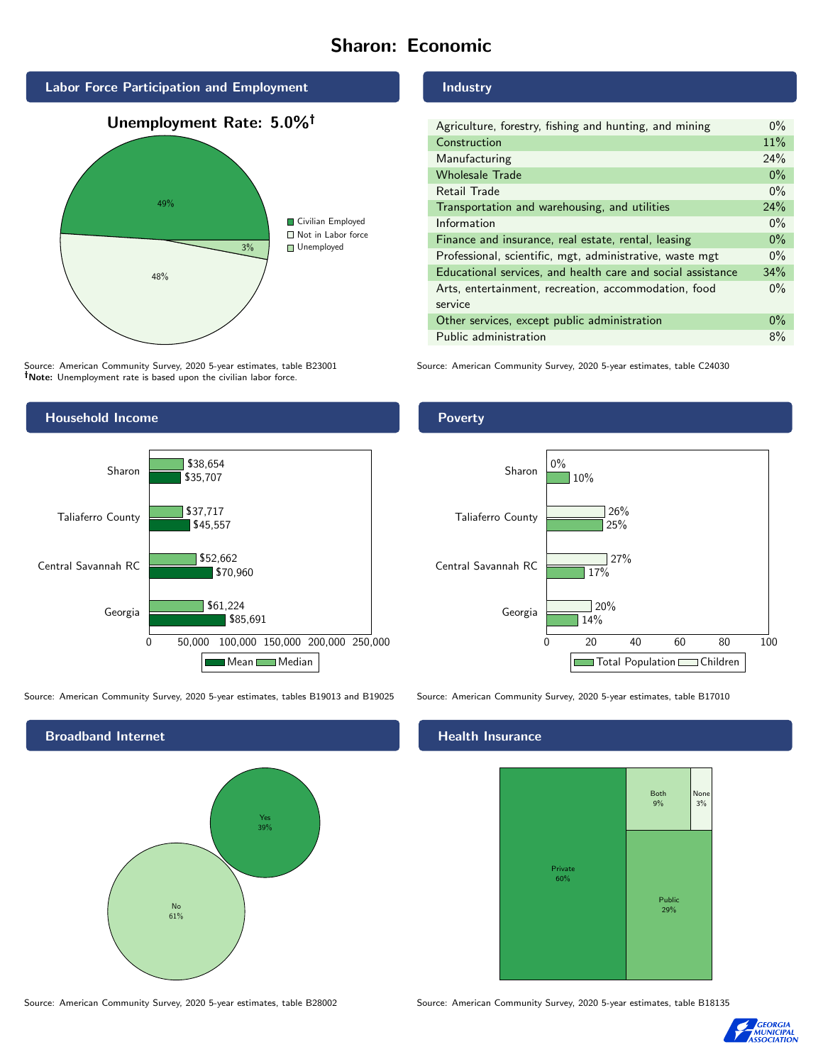# Sharon: Economic



Source: American Community Survey, 2020 5-year estimates, table B23001 Note: Unemployment rate is based upon the civilian labor force.

#### Industry

| Agriculture, forestry, fishing and hunting, and mining      | $0\%$ |
|-------------------------------------------------------------|-------|
| Construction                                                |       |
| Manufacturing                                               | 24%   |
| <b>Wholesale Trade</b>                                      | $0\%$ |
| Retail Trade                                                | $0\%$ |
| Transportation and warehousing, and utilities               |       |
| Information                                                 |       |
| Finance and insurance, real estate, rental, leasing         |       |
| Professional, scientific, mgt, administrative, waste mgt    |       |
| Educational services, and health care and social assistance |       |
| Arts, entertainment, recreation, accommodation, food        |       |
| service                                                     |       |
| Other services, except public administration                |       |
| Public administration                                       |       |

Source: American Community Survey, 2020 5-year estimates, table C24030



Source: American Community Survey, 2020 5-year estimates, tables B19013 and B19025 Source: American Community Survey, 2020 5-year estimates, table B17010

Broadband Internet No 61% Yes 39%

Source: American Community Survey, 2020 5-year estimates, table B28002 Source: American Community Survey, 2020 5-year estimates, table B18135

#### Poverty



#### Health Insurance